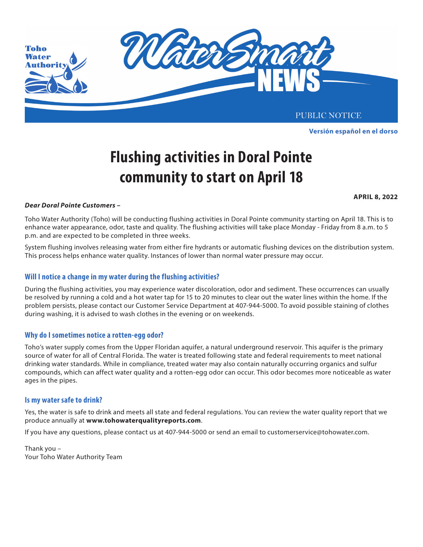

Este aviso público está disponible en español en **www.tohoprojects.com**. **Versión español en el dorso**

# **Flushing activities in Doral Pointe community to start on April 18**

**APRIL 8, 2022**

### Beginning March 2, 2020 Toho Water Authority (TWA) will temporarily switch the disinfectant in your public water system *Dear Doral Pointe Customers –* from **chloramines** to **free chlorine** for routine maintenance of water quality in the distribution system.

The Florida Departmental Departmental Protection (DEP) requires we make the community statement of Protection ( enhance water appearance, odor, taste and quality. The flushing activities will take place Monday - Friday from 8 a.m. to 5 p.m. and are expected to be completed in three weeks. Toho Water Authority (Toho) will be conducting flushing activities in Doral Pointe community starting on April 18. This is to

This process helps enhance water quality. Instances of lower than normal water pressure may occur. the disinfection treatment process is returned to chloramines. System flushing involves releasing water from either fire hydrants or automatic flushing devices on the distribution system.

### **Will I notice a change in my water during the flushing activities?**

.<br>During the flushing activities, you may experience water discoloration, odor and sediment. These occurrences can usually be resolved by running a cold and a hot water tap for 15 to 20 minutes to clear out the water lines within the home. If the problem persists, please contact our Customer Service Department at 407-944-5000. To avoid possible staining of clothes during washing, it is advised to wash clothes in the evening or on weekends.

## Why do I sometimes notice a rotten-egg odor?

**Discoloration and sediment** – During this maintenance process you may also experience water discoloration and Toho's water supply comes from the Upper Floridan aquifer, a natural underground reservoir. This aquifer is the primary source of water for all of Central Florida. The water is treated following state and federal requirements to meet national drinking water standards. While in compliance, treated water may also contain naturally occurring organics and sulfur do in the pipes. **Example 20** is the temporary state  $\frac{1}{2}$  or  $\frac{1}{2}$  and  $\frac{1}{2}$  and  $\frac{1}{2}$  and  $\frac{1}{2}$  and  $\frac{1}{2}$  and  $\frac{1}{2}$  and  $\frac{1}{2}$  and  $\frac{1}{2}$  and  $\frac{1}{2}$  and  $\frac{1}{2}$  and  $\frac{1}{2}$  and  $\$ compounds, which can affect water quality and a rotten-egg odor can occur. This odor becomes more noticeable as water

### **Is my water safe to drink?**

Yes, the water is safe to drink and meets all state and federal regulations. You can review the water quality report that we physician or kidney dialysis center for information and proper procedures. produce annually at **www.tohowaterqualityreports.com**.

 $\frac{1}{2}$  on an approximation tap water for use in aquarium, fish owners showed the neutralizing for neutralizing  $\alpha$ If you have any questions, please contact us at 407-944-5000 or send an email to customerservice@tohowater.com.<br>

 $T_{\rm tot}$  customers with water softening systems should consult the manufacturer for  $m$ . Please visit **www.tohoprojects.com** for more information and updates or contact Toho Water Authority's Public Thank you – Your Toho Water Authority Team